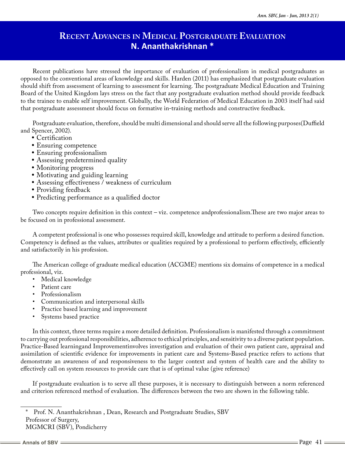# **Recent Advances in Medical Postgraduate Evaluation N. Ananthakrishnan \***

Recent publications have stressed the importance of evaluation of professionalism in medical postgraduates as opposed to the conventional areas of knowledge and skills. Harden (2011) has emphasized that postgraduate evaluation should shift from assessment of learning to assessment for learning. The postgraduate Medical Education and Training Board of the United Kingdom lays stress on the fact that any postgraduate evaluation method should provide feedback to the trainee to enable self improvement. Globally, the World Federation of Medical Education in 2003 itself had said that postgraduate assessment should focus on formative in-training methods and constructive feedback.

Postgraduate evaluation, therefore, should be multi dimensional and should serve all the following purposes(Duffield and Spencer, 2002).

- Certification
- Ensuring competence
- Ensuring professionalism
- Assessing predetermined quality
- Monitoring progress
- Motivating and guiding learning
- Assessing effectiveness / weakness of curriculum
- Providing feedback
- Predicting performance as a qualified doctor

Two concepts require definition in this context – viz. competence andprofessionalism.These are two major areas to be focused on in professional assessment.

A competent professional is one who possesses required skill, knowledge and attitude to perform a desired function. Competency is defined as the values, attributes or qualities required by a professional to perform effectively, efficiently and satisfactorily in his profession.

The American college of graduate medical education (ACGME) mentions six domains of competence in a medical professional, viz.

- Medical knowledge
- Patient care
- Professionalism
- Communication and interpersonal skills
- Practice based learning and improvement
- Systems based practice

In this context, three terms require a more detailed definition. Professionalism is manifested through a commitment to carrying out professional responsibilities, adherence to ethical principles, and sensitivity to a diverse patient population. Practice-Based learningand Improvementinvolves investigation and evaluation of their own patient care, appraisal and assimilation of scientific evidence for improvements in patient care and Systems-Based practice refers to actions that demonstrate an awareness of and responsiveness to the larger context and system of health care and the ability to effectively call on system resources to provide care that is of optimal value (give reference)

If postgraduate evaluation is to serve all these purposes, it is necessary to distinguish between a norm referenced and criterion referenced method of evaluation. The differences between the two are shown in the following table.

Prof. N. Ananthakrishnan, Dean, Research and Postgraduate Studies, SBV Professor of Surgery,

MGMCRI (SBV), Pondicherry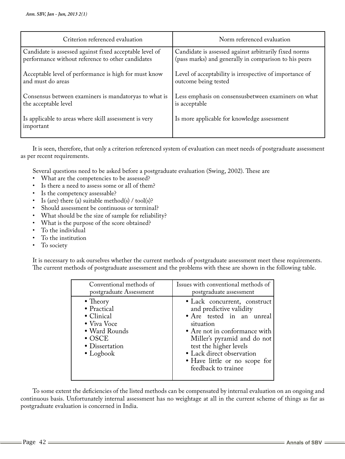| Criterion referenced evaluation                                    | Norm referenced evaluation                              |
|--------------------------------------------------------------------|---------------------------------------------------------|
| Candidate is assessed against fixed acceptable level of            | Candidate is assessed against arbitrarily fixed norms   |
| performance without reference to other candidates                  | (pass marks) and generally in comparison to his peers   |
| Acceptable level of performance is high for must know              | Level of acceptability is irrespective of importance of |
| and must do areas                                                  | outcome being tested                                    |
| Consensus between examiners is mandatoryas to what is              | Less emphasis on consensusbetween examiners on what     |
| the acceptable level                                               | is acceptable                                           |
| Is applicable to areas where skill assessment is very<br>important | Is more applicable for knowledge assessment             |

It is seen, therefore, that only a criterion referenced system of evaluation can meet needs of postgraduate assessment as per recent requirements.

Several questions need to be asked before a postgraduate evaluation (Swing, 2002). These are

- What are the competencies to be assessed?
- Is there a need to assess some or all of them?
- Is the competency assessable?
- Is (are) there (a) suitable method(s) / tool(s)?
- Should assessment be continuous or terminal?
- What should be the size of sample for reliability?
- What is the purpose of the score obtained?
- To the individual
- To the institution
- To society

It is necessary to ask ourselves whether the current methods of postgraduate assessment meet these requirements. The current methods of postgraduate assessment and the problems with these are shown in the following table.

| Conventional methods of                                                                                                                | Issues with conventional methods of                                                                                                                                                                                                                                              |
|----------------------------------------------------------------------------------------------------------------------------------------|----------------------------------------------------------------------------------------------------------------------------------------------------------------------------------------------------------------------------------------------------------------------------------|
| postgraduate Assessment                                                                                                                | postgraduate assessment                                                                                                                                                                                                                                                          |
| $\bullet$ Theory<br>• Practical<br>• Clinical<br>• Viva Voce<br>• Ward Rounds<br>$\bullet$ OSCE<br>• Dissertation<br>$\bullet$ Logbook | • Lack concurrent, construct<br>and predictive validity<br>• Are tested in an unreal<br>situation<br>• Are not in conformance with<br>Miller's pyramid and do not<br>test the higher levels<br>· Lack direct observation<br>· Have little or no scope for<br>feedback to trainee |

To some extent the deficiencies of the listed methods can be compensated by internal evaluation on an ongoing and continuous basis. Unfortunately internal assessment has no weightage at all in the current scheme of things as far as postgraduate evaluation is concerned in India.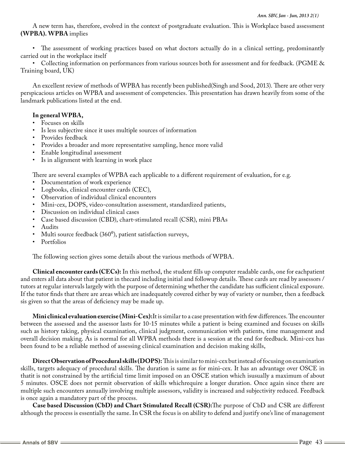A new term has, therefore, evolved in the context of postgraduate evaluation. This is Workplace based assessment **(WPBA). WPBA** implies

• The assessment of working practices based on what doctors actually do in a clinical setting, predominantly carried out in the workplace itself

• Collecting information on performances from various sources both for assessment and for feedback. (PGME & Training board, UK)

An excellent review of methods of WPBA has recently been published(Singh and Sood, 2013). There are other very perspicacious articles on WPBA and assessment of competencies. This presentation has drawn heavily from some of the landmark publications listed at the end.

## **In general WPBA,**

- Focuses on skills
- Is less subjective since it uses multiple sources of information
- Provides feedback
- Provides a broader and more representative sampling, hence more valid
- Enable longitudinal assessment
- Is in alignment with learning in work place

There are several examples of WPBA each applicable to a different requirement of evaluation, for e.g.

- Documentation of work experience
- Logbooks, clinical encounter cards (CEC),
- Observation of individual clinical encounters
- Mini-cex, DOPS, video-consultation assessment, standardized patients,
- Discussion on individual clinical cases
- Case based discussion (CBD), chart-stimulated recall (CSR), mini PBAs
- Audits
- Multi source feedback (360<sup>0</sup>), patient satisfaction surveys,
- Portfolios

The following section gives some details about the various methods of WPBA.

**Clinical encounter cards (CECs):** In this method, the student fills up computer readable cards, one for eachpatient and enters all data about that patient in thecard including initial and followup details. These cards are read by assessors / tutors at regular intervals largely with the purpose of determining whether the candidate has sufficient clinical exposure. If the tutor finds that there are areas which are inadequately covered either by way of variety or number, then a feedback sis given so that the areas of deficiency may be made up.

**Mini clinical evaluation exercise (Mini-Cex):**It is similar to a case presentation with few differences. The encounter between the assessed and the assessor lasts for 10-15 minutes while a patient is being examined and focuses on skills such as history taking, physical examination, clinical judgment, communication with patients, time management and overall decision making. As is normal for all WPBA methods there is a session at the end for feedback. Mini-cex has been found to be a reliable method of assessing clinical examination and decision making skills,

**Direct Observation of Procedural skills (DOPS):** This is similar to mini-cex but instead of focusing on examination skills, targets adequacy of procedural skills. The duration is same as for mini-cex. It has an advantage over OSCE in thatit is not constrained by the artificial time limit imposed on an OSCE station which isusually a maximum of about 5 minutes. OSCE does not permit observation of skills whichrequire a longer duration. Once again since there are multiple such encounters annually involving multiple assessors, validity is increased and subjectivity reduced. Feedback is once again a mandatory part of the process.

**Case based Discussion (CbD) and Chart Stimulated Recall (CSR):**The purpose of CbD and CSR are different although the process is essentially the same. In CSR the focus is on ability to defend and justify one's line of management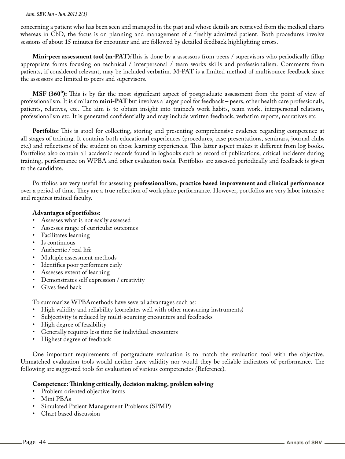#### *Ann. SBV, Jan - Jun, 2013 2(1)*

concerning a patient who has been seen and managed in the past and whose details are retrieved from the medical charts whereas in CbD, the focus is on planning and management of a freshly admitted patient. Both procedures involve sessions of about 15 minutes for encounter and are followed by detailed feedback highlighting errors.

**Mini-peer assessment tool (m-PAT):**This is done by a assessors from peers / supervisors who periodically fillup appropriate forms focusing on technical / interpersonal / team works skills and professionalism. Comments from patients, if considered relevant, may be included verbatim. M-PAT is a limited method of multisource feedback since the assessors are limited to peers and supervisors.

**MSF (360<sup>o</sup>):** This is by far the most significant aspect of postgraduate assessment from the point of view of professionalism. It is similar to **mini-PAT** but involves a larger pool for feedback – peers, other health care professionals, patients, relatives, etc. The aim is to obtain insight into trainee's work habits, team work, interpersonal relations, professionalism etc. It is generated confidentially and may include written feedback, verbatim reports, narratives etc

**Portfolio:** This is atool for collecting, storing and presenting comprehensive evidence regarding competence at all stages of training. It contains both educational experiences (procedures, case presentations, seminars, journal clubs etc.) and reflections of the student on those learning experiences. This latter aspect makes it different from log books. Portfolios also contain all academic records found in logbooks such as record of publications, critical incidents during training, performance on WPBA and other evaluation tools. Portfolios are assessed periodically and feedback is given to the candidate.

Portfolios are very useful for assessing **professionalism, practice based improvement and clinical performance** over a period of time. They are a true reflection of work place performance. However, portfolios are very labor intensive and requires trained faculty.

## **Advantages of portfolios:**

- Assesses what is not easily assessed
- Assesses range of curricular outcomes
- Facilitates learning
- Is continuous
- Authentic / real life<br>• Multiple assessment
- Multiple assessment methods
- Identifies poor performers early
- Assesses extent of learning
- Demonstrates self expression / creativity
- Gives feed back

To summarize WPBAmethods have several advantages such as:

- High validity and reliability (correlates well with other measuring instruments)
- Subjectivity is reduced by multi-sourcing encounters and feedbacks
- High degree of feasibility
- Generally requires less time for individual encounters
- Highest degree of feedback

One important requirements of postgraduate evaluation is to match the evaluation tool with the objective. Unmatched evaluation tools would neither have validity nor would they be reliable indicators of performance. The following are suggested tools for evaluation of various competencies (Reference).

## **Competence: Thinking critically, decision making, problem solving**

- Problem oriented objective items
- Mini PBAs
- Simulated Patient Management Problems (SPMP)
- Chart based discussion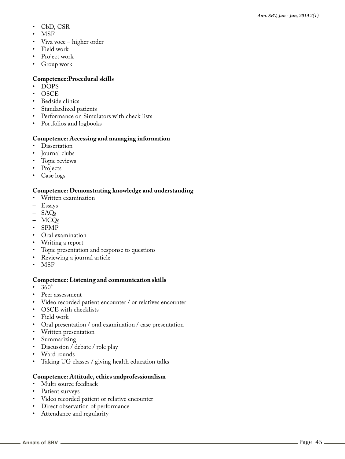- CbD, CSR
- **MSF**
- Viva voce higher order
- Field work
- Project work
- Group work

## **Competence:Procedural skills**

- DOPS
- OSCE
- Bedside clinics
- Standardized patients
- Performance on Simulators with check lists
- Portfolios and logbooks

## **Competence: Accessing and managing information**

- Dissertation
- Journal clubs
- Topic reviews
- Projects
- Case logs

## **Competence: Demonstrating knowledge and understanding**

- Written examination
- Essays
- SAQs
- MCQs
- SPMP
- Oral examination
- Writing a report<br>• Topic presentation
- Topic presentation and response to questions
- Reviewing a journal article
- MSF

## **Competence: Listening and communication skills**

- 360°
- Peer assessment
- Video recorded patient encounter / or relatives encounter
- OSCE with checklists
- Field work
- Oral presentation / oral examination / case presentation
- Written presentation
- 
- Summarizing<br>• Discussion / d Discussion / debate / role play
- Ward rounds
- Taking UG classes / giving health education talks

## **Competence: Attitude, ethics andprofessionalism**

- Multi source feedback
- Patient surveys
- Video recorded patient or relative encounter
- Direct observation of performance
- Attendance and regularity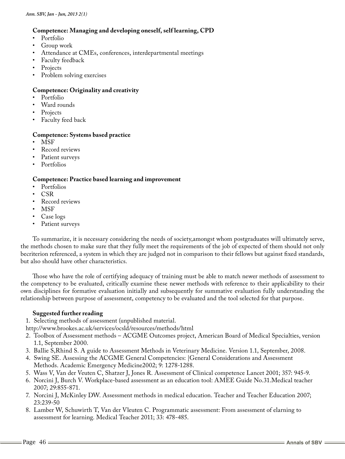## **Competence: Managing and developing oneself, self learning, CPD**

- Portfolio
- Group work
- Attendance at CMEs, conferences, interdepartmental meetings
- Faculty feedback
- **Projects**
- Problem solving exercises

#### **Competence: Originality and creativity**

- Portfolio
- Ward rounds
- **Projects**
- Faculty feed back

#### **Competence: Systems based practice**

- MSF
- Record reviews
- Patient surveys
- Portfolios

#### **Competence: Practice based learning and improvement**

- Portfolios
- CSR
- Record reviews
- MSF
- Case logs
- Patient surveys

To summarize, it is necessary considering the needs of society,amongst whom postgraduates will ultimately serve, the methods chosen to make sure that they fully meet the requirements of the job of expected of them should not only becriterion referenced, a system in which they are judged not in comparison to their fellows but against fixed standards, but also should have other characteristics.

Those who have the role of certifying adequacy of training must be able to match newer methods of assessment to the competency to be evaluated, critically examine these newer methods with reference to their applicability to their own disciplines for formative evaluation initially and subsequently for summative evaluation fully understanding the relationship between purpose of assessment, competency to be evaluated and the tool selected for that purpose.

## **Suggested further reading**

1. Selecting methods of assessment (unpublished material.

http://www.brookes.ac.uk/services/ocsld/resources/methods/html

- 2. Toolbox of Assessment methods ACGME Outcomes project, American Board of Medical Specialties, version 1.1, September 2000.
- 3. Ballie S,Rhind S. A guide to Assessment Methods in Veterinary Medicine. Version 1.1, September, 2008.
- 4. Swing SE. Assessing the ACGME General Competencies: |General Considerations and Assessment Methods. Academic Emergency Medicine2002; 9: 1278-1288.
- 5. Wass V, Van der Veuten C, Shatzer J, Jones R. Assessment of Clinical competence Lancet 2001; 357: 945-9.
- 6. Norcini J, Burch V. Workplace-based assessment as an education tool: AMEE Guide No.31.Medical teacher 2007; 29:855-871.
- 7. Norcini J, McKinley DW. Assessment methods in medical education. Teacher and Teacher Education 2007; 23:239-50
- 8. Lamber W, Schuwirth T, Van der Vleuten C. Programmatic assessment: From assessment of elarning to assessment for learning. Medical Teacher 2011; 33: 478-485.